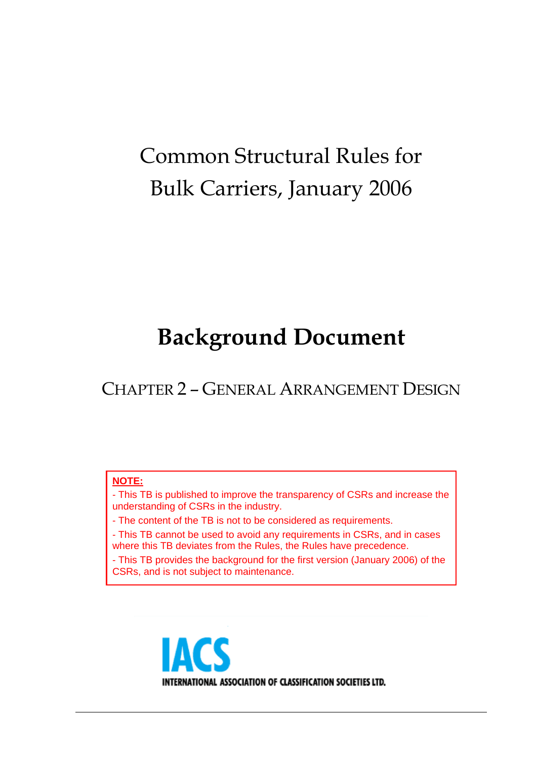# Common Structural Rules for Bulk Carriers, January 2006

# **Background Document**

CHAPTER 2 – GENERAL ARRANGEMENT DESIGN

#### **NOTE:**

- This TB is published to improve the transparency of CSRs and increase the understanding of CSRs in the industry.

- The content of the TB is not to be considered as requirements.

- This TB cannot be used to avoid any requirements in CSRs, and in cases where this TB deviates from the Rules, the Rules have precedence.

- This TB provides the background for the first version (January 2006) of the CSRs, and is not subject to maintenance.

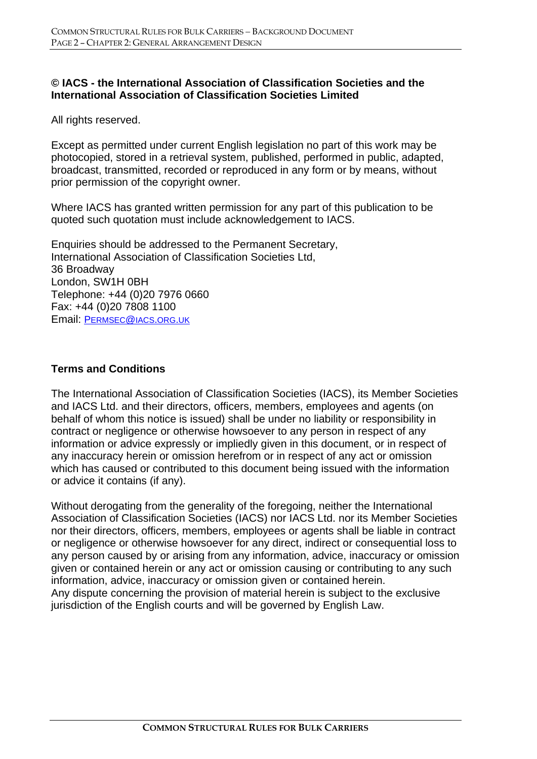#### **© IACS - the International Association of Classification Societies and the International Association of Classification Societies Limited**

All rights reserved.

Except as permitted under current English legislation no part of this work may be photocopied, stored in a retrieval system, published, performed in public, adapted, broadcast, transmitted, recorded or reproduced in any form or by means, without prior permission of the copyright owner.

Where IACS has granted written permission for any part of this publication to be quoted such quotation must include acknowledgement to IACS.

Enquiries should be addressed to the Permanent Secretary, International Association of Classification Societies Ltd, 36 Broadway London, SW1H 0BH Telephone: +44 (0)20 7976 0660 Fax: +44 (0)20 7808 1100 Email: PERMSEC@IACS.ORG.UK

#### **Terms and Conditions**

The International Association of Classification Societies (IACS), its Member Societies and IACS Ltd. and their directors, officers, members, employees and agents (on behalf of whom this notice is issued) shall be under no liability or responsibility in contract or negligence or otherwise howsoever to any person in respect of any information or advice expressly or impliedly given in this document, or in respect of any inaccuracy herein or omission herefrom or in respect of any act or omission which has caused or contributed to this document being issued with the information or advice it contains (if any).

Without derogating from the generality of the foregoing, neither the International Association of Classification Societies (IACS) nor IACS Ltd. nor its Member Societies nor their directors, officers, members, employees or agents shall be liable in contract or negligence or otherwise howsoever for any direct, indirect or consequential loss to any person caused by or arising from any information, advice, inaccuracy or omission given or contained herein or any act or omission causing or contributing to any such information, advice, inaccuracy or omission given or contained herein. Any dispute concerning the provision of material herein is subject to the exclusive jurisdiction of the English courts and will be governed by English Law.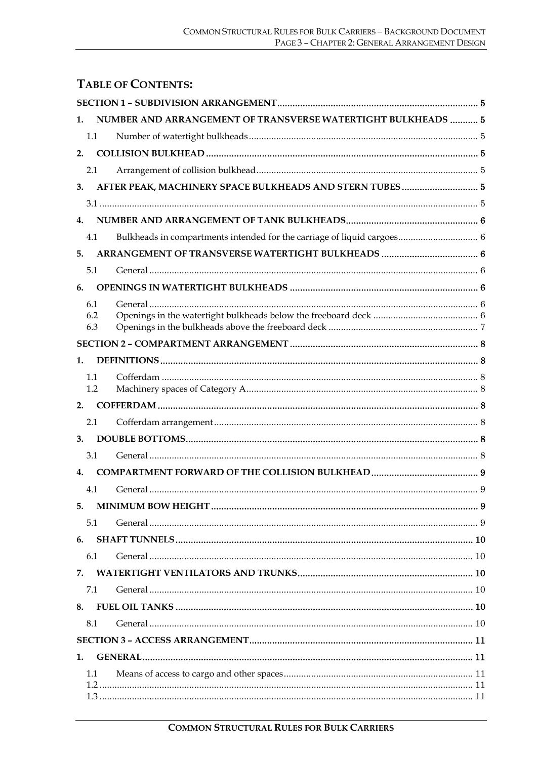# **TABLE OF CONTENTS:**

| 1. |            | NUMBER AND ARRANGEMENT OF TRANSVERSE WATERTIGHT BULKHEADS  5 |  |  |
|----|------------|--------------------------------------------------------------|--|--|
|    | 1.1        |                                                              |  |  |
| 2. |            |                                                              |  |  |
|    | 2.1        |                                                              |  |  |
| 3. |            |                                                              |  |  |
|    |            |                                                              |  |  |
| 4. |            |                                                              |  |  |
|    | 4.1        |                                                              |  |  |
| 5. |            |                                                              |  |  |
|    | 5.1        |                                                              |  |  |
| 6. |            |                                                              |  |  |
|    | 6.1        |                                                              |  |  |
|    | 6.2<br>6.3 |                                                              |  |  |
|    |            |                                                              |  |  |
| 1. |            |                                                              |  |  |
|    | 1.1        |                                                              |  |  |
|    | 1.2        |                                                              |  |  |
| 2. |            |                                                              |  |  |
|    | 2.1        |                                                              |  |  |
| 3. |            |                                                              |  |  |
|    | 3.1        |                                                              |  |  |
| 4. |            |                                                              |  |  |
|    | 4.1        |                                                              |  |  |
| 5. |            |                                                              |  |  |
|    | 5.1        |                                                              |  |  |
| 6. |            |                                                              |  |  |
|    | 6.1        |                                                              |  |  |
| 7. |            |                                                              |  |  |
|    | 7.1        |                                                              |  |  |
| 8. |            |                                                              |  |  |
|    | 8.1        |                                                              |  |  |
|    |            |                                                              |  |  |
| 1. |            |                                                              |  |  |
|    | 1.1        |                                                              |  |  |
|    |            |                                                              |  |  |
|    |            |                                                              |  |  |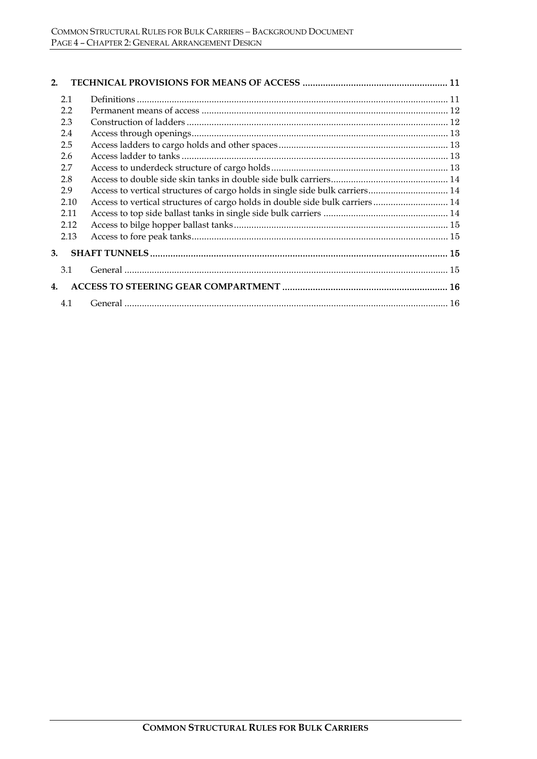| 2.                 |      |                                                                              |  |
|--------------------|------|------------------------------------------------------------------------------|--|
| 2.1                |      |                                                                              |  |
| 2.2                |      |                                                                              |  |
| 2.3                |      |                                                                              |  |
| 2.4                |      |                                                                              |  |
| 2.5                |      |                                                                              |  |
| 2.6                |      |                                                                              |  |
| 2.7                |      |                                                                              |  |
| 2.8                |      |                                                                              |  |
| 2.9                |      | Access to vertical structures of cargo holds in single side bulk carriers 14 |  |
|                    | 2.10 | Access to vertical structures of cargo holds in double side bulk carriers 14 |  |
|                    | 2.11 |                                                                              |  |
|                    | 2.12 |                                                                              |  |
|                    | 2.13 |                                                                              |  |
| 3.                 |      |                                                                              |  |
| 3.1                |      |                                                                              |  |
| $\boldsymbol{4}$ . |      |                                                                              |  |
| 4.1                |      |                                                                              |  |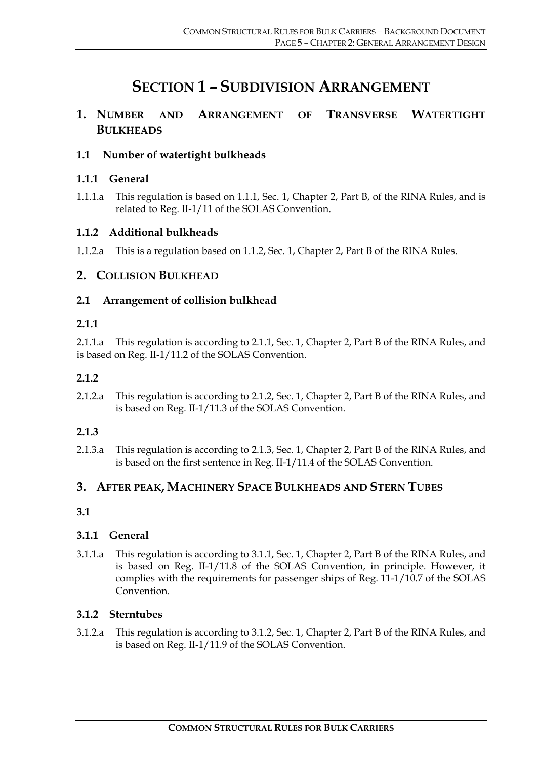# **SECTION 1 – SUBDIVISION ARRANGEMENT**

# **1. NUMBER AND ARRANGEMENT OF TRANSVERSE WATERTIGHT BULKHEADS**

#### **1.1 Number of watertight bulkheads**

#### **1.1.1 General**

1.1.1.a This regulation is based on 1.1.1, Sec. 1, Chapter 2, Part B, of the RINA Rules, and is related to Reg. II-1/11 of the SOLAS Convention.

#### **1.1.2 Additional bulkheads**

1.1.2.a This is a regulation based on 1.1.2, Sec. 1, Chapter 2, Part B of the RINA Rules.

# **2. COLLISION BULKHEAD**

#### **2.1 Arrangement of collision bulkhead**

#### **2.1.1**

2.1.1.a This regulation is according to 2.1.1, Sec. 1, Chapter 2, Part B of the RINA Rules, and is based on Reg. II-1/11.2 of the SOLAS Convention.

#### **2.1.2**

2.1.2.a This regulation is according to 2.1.2, Sec. 1, Chapter 2, Part B of the RINA Rules, and is based on Reg. II-1/11.3 of the SOLAS Convention.

#### **2.1.3**

2.1.3.a This regulation is according to 2.1.3, Sec. 1, Chapter 2, Part B of the RINA Rules, and is based on the first sentence in Reg. II-1/11.4 of the SOLAS Convention.

#### **3. AFTER PEAK, MACHINERY SPACE BULKHEADS AND STERN TUBES**

#### **3.1**

#### **3.1.1 General**

3.1.1.a This regulation is according to 3.1.1, Sec. 1, Chapter 2, Part B of the RINA Rules, and is based on Reg. II-1/11.8 of the SOLAS Convention, in principle. However, it complies with the requirements for passenger ships of Reg. 11-1/10.7 of the SOLAS Convention.

#### **3.1.2 Sterntubes**

3.1.2.a This regulation is according to 3.1.2, Sec. 1, Chapter 2, Part B of the RINA Rules, and is based on Reg. II-1/11.9 of the SOLAS Convention.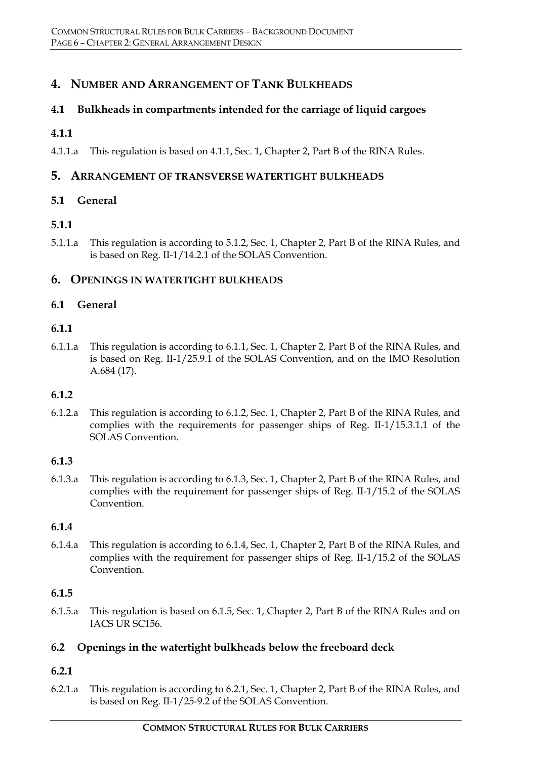# **4. NUMBER AND ARRANGEMENT OF TANK BULKHEADS**

#### **4.1 Bulkheads in compartments intended for the carriage of liquid cargoes**

#### **4.1.1**

4.1.1.a This regulation is based on 4.1.1, Sec. 1, Chapter 2, Part B of the RINA Rules.

#### **5. ARRANGEMENT OF TRANSVERSE WATERTIGHT BULKHEADS**

#### **5.1 General**

#### **5.1.1**

5.1.1.a This regulation is according to 5.1.2, Sec. 1, Chapter 2, Part B of the RINA Rules, and is based on Reg. II-1/14.2.1 of the SOLAS Convention.

#### **6. OPENINGS IN WATERTIGHT BULKHEADS**

#### **6.1 General**

#### **6.1.1**

6.1.1.a This regulation is according to 6.1.1, Sec. 1, Chapter 2, Part B of the RINA Rules, and is based on Reg. II-1/25.9.1 of the SOLAS Convention, and on the IMO Resolution A.684 (17).

#### **6.1.2**

6.1.2.a This regulation is according to 6.1.2, Sec. 1, Chapter 2, Part B of the RINA Rules, and complies with the requirements for passenger ships of Reg. II-1/15.3.1.1 of the SOLAS Convention.

#### **6.1.3**

6.1.3.a This regulation is according to 6.1.3, Sec. 1, Chapter 2, Part B of the RINA Rules, and complies with the requirement for passenger ships of Reg. II-1/15.2 of the SOLAS Convention.

#### **6.1.4**

6.1.4.a This regulation is according to 6.1.4, Sec. 1, Chapter 2, Part B of the RINA Rules, and complies with the requirement for passenger ships of Reg. II-1/15.2 of the SOLAS Convention.

#### **6.1.5**

6.1.5.a This regulation is based on 6.1.5, Sec. 1, Chapter 2, Part B of the RINA Rules and on IACS UR SC156.

#### **6.2 Openings in the watertight bulkheads below the freeboard deck**

# **6.2.1**

6.2.1.a This regulation is according to 6.2.1, Sec. 1, Chapter 2, Part B of the RINA Rules, and is based on Reg. II-1/25-9.2 of the SOLAS Convention.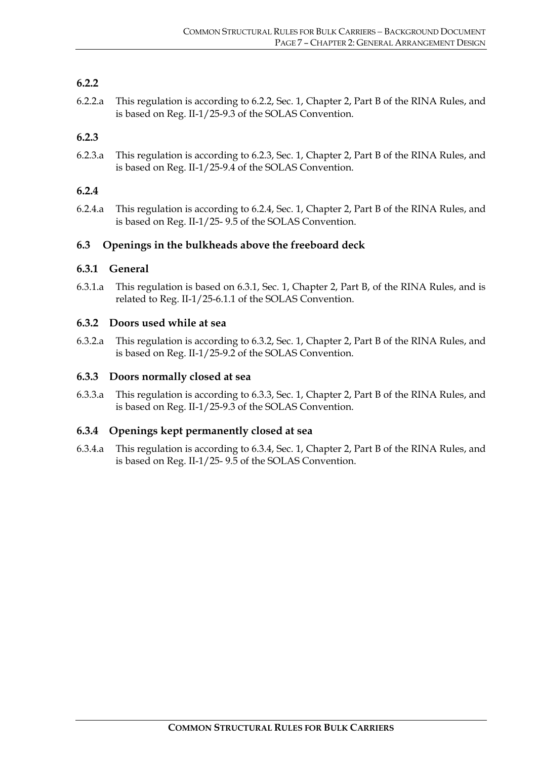#### **6.2.2**

6.2.2.a This regulation is according to 6.2.2, Sec. 1, Chapter 2, Part B of the RINA Rules, and is based on Reg. II-1/25-9.3 of the SOLAS Convention.

#### **6.2.3**

6.2.3.a This regulation is according to 6.2.3, Sec. 1, Chapter 2, Part B of the RINA Rules, and is based on Reg. II-1/25-9.4 of the SOLAS Convention.

#### **6.2.4**

6.2.4.a This regulation is according to 6.2.4, Sec. 1, Chapter 2, Part B of the RINA Rules, and is based on Reg. II-1/25- 9.5 of the SOLAS Convention.

#### **6.3 Openings in the bulkheads above the freeboard deck**

#### **6.3.1 General**

6.3.1.a This regulation is based on 6.3.1, Sec. 1, Chapter 2, Part B, of the RINA Rules, and is related to Reg. II-1/25-6.1.1 of the SOLAS Convention.

#### **6.3.2 Doors used while at sea**

6.3.2.a This regulation is according to 6.3.2, Sec. 1, Chapter 2, Part B of the RINA Rules, and is based on Reg. II-1/25-9.2 of the SOLAS Convention.

#### **6.3.3 Doors normally closed at sea**

6.3.3.a This regulation is according to 6.3.3, Sec. 1, Chapter 2, Part B of the RINA Rules, and is based on Reg. II-1/25-9.3 of the SOLAS Convention.

#### **6.3.4 Openings kept permanently closed at sea**

6.3.4.a This regulation is according to 6.3.4, Sec. 1, Chapter 2, Part B of the RINA Rules, and is based on Reg. II-1/25- 9.5 of the SOLAS Convention.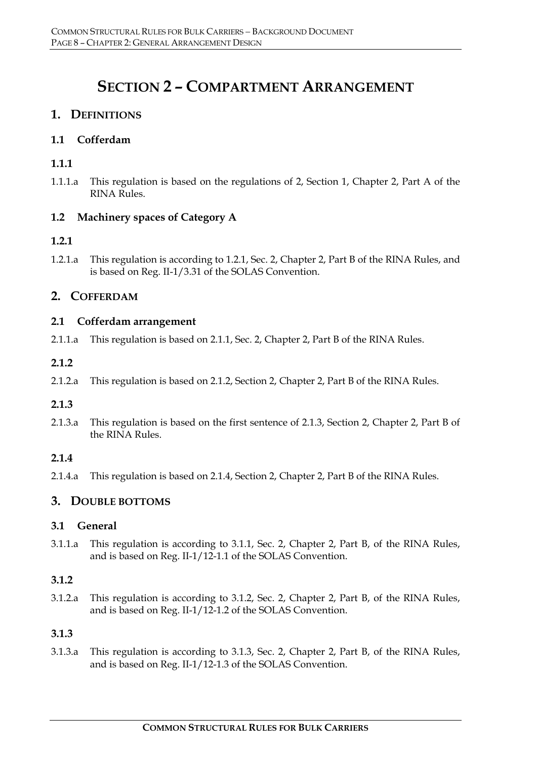# **SECTION 2 – COMPARTMENT ARRANGEMENT**

# **1. DEFINITIONS**

#### **1.1 Cofferdam**

#### **1.1.1**

1.1.1.a This regulation is based on the regulations of 2, Section 1, Chapter 2, Part A of the RINA Rules.

#### **1.2 Machinery spaces of Category A**

#### **1.2.1**

1.2.1.a This regulation is according to 1.2.1, Sec. 2, Chapter 2, Part B of the RINA Rules, and is based on Reg. II-1/3.31 of the SOLAS Convention.

# **2. COFFERDAM**

#### **2.1 Cofferdam arrangement**

2.1.1.a This regulation is based on 2.1.1, Sec. 2, Chapter 2, Part B of the RINA Rules.

#### **2.1.2**

2.1.2.a This regulation is based on 2.1.2, Section 2, Chapter 2, Part B of the RINA Rules.

#### **2.1.3**

2.1.3.a This regulation is based on the first sentence of 2.1.3, Section 2, Chapter 2, Part B of the RINA Rules.

#### **2.1.4**

2.1.4.a This regulation is based on 2.1.4, Section 2, Chapter 2, Part B of the RINA Rules.

# **3. DOUBLE BOTTOMS**

#### **3.1 General**

3.1.1.a This regulation is according to 3.1.1, Sec. 2, Chapter 2, Part B, of the RINA Rules, and is based on Reg. II-1/12-1.1 of the SOLAS Convention.

#### **3.1.2**

3.1.2.a This regulation is according to 3.1.2, Sec. 2, Chapter 2, Part B, of the RINA Rules, and is based on Reg. II-1/12-1.2 of the SOLAS Convention.

#### **3.1.3**

3.1.3.a This regulation is according to 3.1.3, Sec. 2, Chapter 2, Part B, of the RINA Rules, and is based on Reg. II-1/12-1.3 of the SOLAS Convention.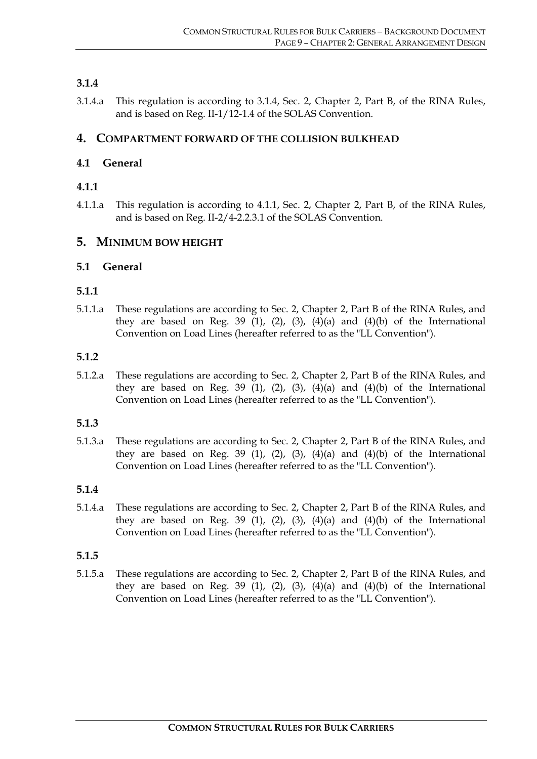#### **3.1.4**

3.1.4.a This regulation is according to 3.1.4, Sec. 2, Chapter 2, Part B, of the RINA Rules, and is based on Reg. II-1/12-1.4 of the SOLAS Convention.

#### **4. COMPARTMENT FORWARD OF THE COLLISION BULKHEAD**

#### **4.1 General**

#### **4.1.1**

4.1.1.a This regulation is according to 4.1.1, Sec. 2, Chapter 2, Part B, of the RINA Rules, and is based on Reg. II-2/4-2.2.3.1 of the SOLAS Convention.

#### **5. MINIMUM BOW HEIGHT**

#### **5.1 General**

#### **5.1.1**

5.1.1.a These regulations are according to Sec. 2, Chapter 2, Part B of the RINA Rules, and they are based on Reg. 39 (1), (2), (3), (4)(a) and (4)(b) of the International Convention on Load Lines (hereafter referred to as the "LL Convention").

#### **5.1.2**

5.1.2.a These regulations are according to Sec. 2, Chapter 2, Part B of the RINA Rules, and they are based on Reg. 39 (1), (2), (3), (4)(a) and (4)(b) of the International Convention on Load Lines (hereafter referred to as the "LL Convention").

#### **5.1.3**

5.1.3.a These regulations are according to Sec. 2, Chapter 2, Part B of the RINA Rules, and they are based on Reg. 39 (1), (2), (3), (4)(a) and (4)(b) of the International Convention on Load Lines (hereafter referred to as the "LL Convention").

#### **5.1.4**

5.1.4.a These regulations are according to Sec. 2, Chapter 2, Part B of the RINA Rules, and they are based on Reg. 39 (1), (2), (3), (4)(a) and (4)(b) of the International Convention on Load Lines (hereafter referred to as the "LL Convention").

#### **5.1.5**

5.1.5.a These regulations are according to Sec. 2, Chapter 2, Part B of the RINA Rules, and they are based on Reg. 39 (1), (2), (3), (4)(a) and (4)(b) of the International Convention on Load Lines (hereafter referred to as the "LL Convention").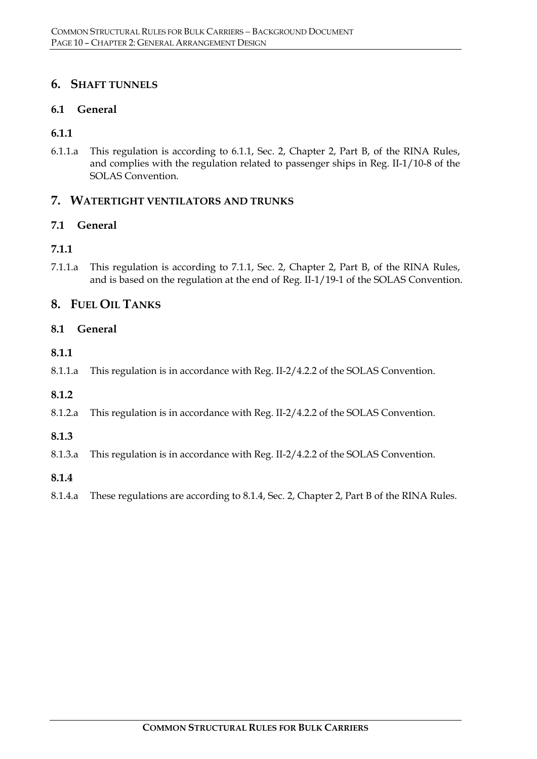# **6. SHAFT TUNNELS**

#### **6.1 General**

#### **6.1.1**

6.1.1.a This regulation is according to 6.1.1, Sec. 2, Chapter 2, Part B, of the RINA Rules, and complies with the regulation related to passenger ships in Reg. II-1/10-8 of the SOLAS Convention.

#### **7. WATERTIGHT VENTILATORS AND TRUNKS**

#### **7.1 General**

#### **7.1.1**

7.1.1.a This regulation is according to 7.1.1, Sec. 2, Chapter 2, Part B, of the RINA Rules, and is based on the regulation at the end of Reg. II-1/19-1 of the SOLAS Convention.

# **8. FUEL OIL TANKS**

#### **8.1 General**

#### **8.1.1**

8.1.1.a This regulation is in accordance with Reg. II-2/4.2.2 of the SOLAS Convention.

#### **8.1.2**

8.1.2.a This regulation is in accordance with Reg. II-2/4.2.2 of the SOLAS Convention.

#### **8.1.3**

- 8.1.3.a This regulation is in accordance with Reg. II-2/4.2.2 of the SOLAS Convention.
- **8.1.4**
- 8.1.4.a These regulations are according to 8.1.4, Sec. 2, Chapter 2, Part B of the RINA Rules.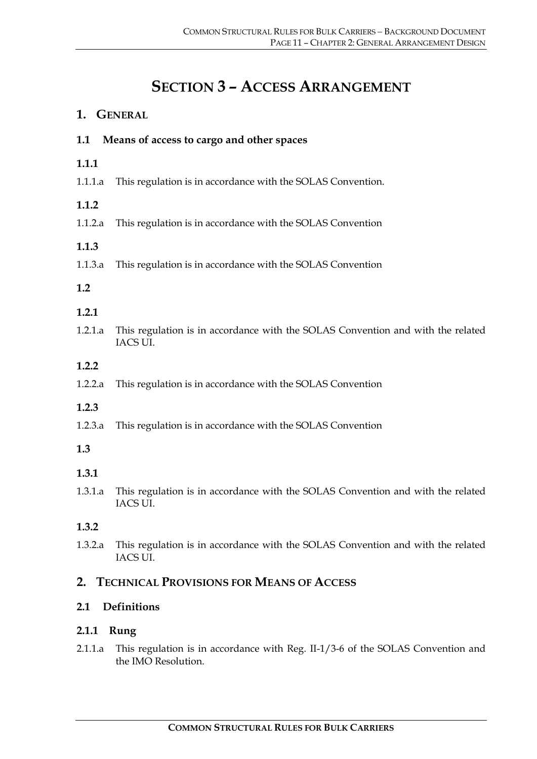# **SECTION 3 – ACCESS ARRANGEMENT**

|                    | 1. GENERAL                                                                                             |  |  |  |  |
|--------------------|--------------------------------------------------------------------------------------------------------|--|--|--|--|
| 1.1                | Means of access to cargo and other spaces                                                              |  |  |  |  |
| 1.1.1              |                                                                                                        |  |  |  |  |
| 1.1.1.a            | This regulation is in accordance with the SOLAS Convention.                                            |  |  |  |  |
| 1.1.2              |                                                                                                        |  |  |  |  |
| 1.1.2.a            | This regulation is in accordance with the SOLAS Convention                                             |  |  |  |  |
| 1.1.3              |                                                                                                        |  |  |  |  |
| 1.1.3.a            | This regulation is in accordance with the SOLAS Convention                                             |  |  |  |  |
| 1.2                |                                                                                                        |  |  |  |  |
| 1.2.1              |                                                                                                        |  |  |  |  |
| 1.2.1.a            | This regulation is in accordance with the SOLAS Convention and with the related<br>IACS UI.            |  |  |  |  |
| 1.2.2              |                                                                                                        |  |  |  |  |
| 1.2.2.a            | This regulation is in accordance with the SOLAS Convention                                             |  |  |  |  |
| 1.2.3              |                                                                                                        |  |  |  |  |
| 1.2.3.a            | This regulation is in accordance with the SOLAS Convention                                             |  |  |  |  |
| 1.3                |                                                                                                        |  |  |  |  |
| 1.3.1              |                                                                                                        |  |  |  |  |
| 1.3.1.a            | This regulation is in accordance with the SOLAS Convention and with the related<br>IACS UI.            |  |  |  |  |
| 1.3.2              |                                                                                                        |  |  |  |  |
| 1.3.2.a            | This regulation is in accordance with the SOLAS Convention and with the related<br>IACS UI.            |  |  |  |  |
| 2.                 | <b>TECHNICAL PROVISIONS FOR MEANS OF ACCESS</b>                                                        |  |  |  |  |
| Definitions<br>2.1 |                                                                                                        |  |  |  |  |
| 2.1.1              | Rung                                                                                                   |  |  |  |  |
| 2.1.1.a            | This regulation is in accordance with Reg. II-1/3-6 of the SOLAS Convention and<br>the IMO Resolution. |  |  |  |  |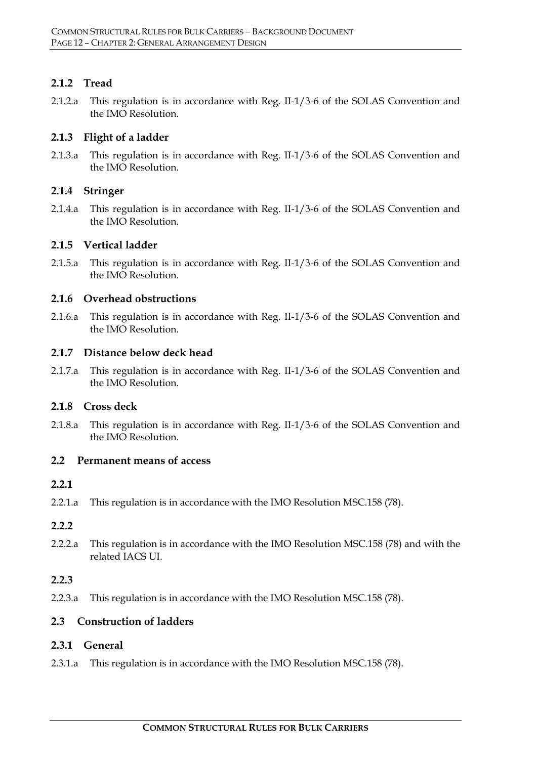#### **2.1.2 Tread**

2.1.2.a This regulation is in accordance with Reg. II-1/3-6 of the SOLAS Convention and the IMO Resolution.

#### **2.1.3 Flight of a ladder**

2.1.3.a This regulation is in accordance with Reg. II-1/3-6 of the SOLAS Convention and the IMO Resolution.

#### **2.1.4 Stringer**

2.1.4.a This regulation is in accordance with Reg. II-1/3-6 of the SOLAS Convention and the IMO Resolution.

#### **2.1.5 Vertical ladder**

2.1.5.a This regulation is in accordance with Reg. II-1/3-6 of the SOLAS Convention and the IMO Resolution.

#### **2.1.6 Overhead obstructions**

2.1.6.a This regulation is in accordance with Reg. II-1/3-6 of the SOLAS Convention and the IMO Resolution.

#### **2.1.7 Distance below deck head**

2.1.7.a This regulation is in accordance with Reg. II-1/3-6 of the SOLAS Convention and the IMO Resolution.

#### **2.1.8 Cross deck**

2.1.8.a This regulation is in accordance with Reg. II-1/3-6 of the SOLAS Convention and the IMO Resolution.

#### **2.2 Permanent means of access**

#### **2.2.1**

2.2.1.a This regulation is in accordance with the IMO Resolution MSC.158 (78).

#### **2.2.2**

2.2.2.a This regulation is in accordance with the IMO Resolution MSC.158 (78) and with the related IACS UI.

#### **2.2.3**

2.2.3.a This regulation is in accordance with the IMO Resolution MSC.158 (78).

#### **2.3 Construction of ladders**

#### **2.3.1 General**

2.3.1.a This regulation is in accordance with the IMO Resolution MSC.158 (78).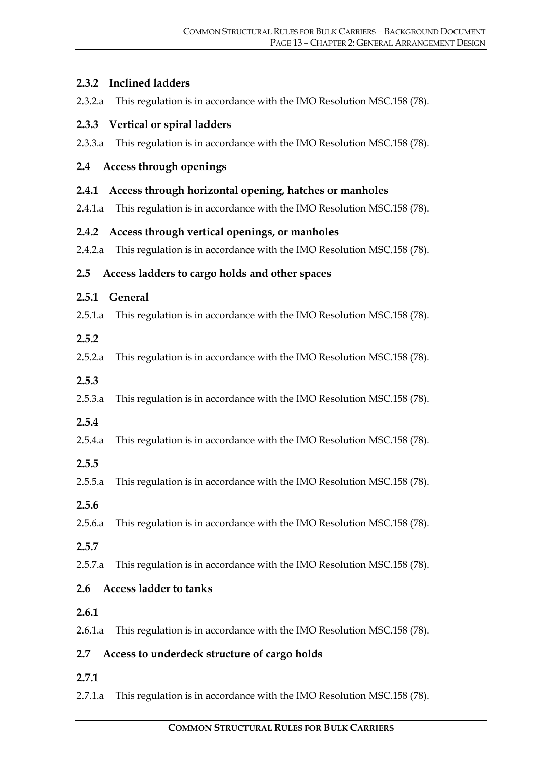#### **2.3.2 Inclined ladders**

2.3.2.a This regulation is in accordance with the IMO Resolution MSC.158 (78).

#### **2.3.3 Vertical or spiral ladders**

2.3.3.a This regulation is in accordance with the IMO Resolution MSC.158 (78).

#### **2.4 Access through openings**

- **2.4.1 Access through horizontal opening, hatches or manholes**
- 2.4.1.a This regulation is in accordance with the IMO Resolution MSC.158 (78).

#### **2.4.2 Access through vertical openings, or manholes**

2.4.2.a This regulation is in accordance with the IMO Resolution MSC.158 (78).

#### **2.5 Access ladders to cargo holds and other spaces**

#### **2.5.1 General**

2.5.1.a This regulation is in accordance with the IMO Resolution MSC.158 (78).

#### **2.5.2**

2.5.2.a This regulation is in accordance with the IMO Resolution MSC.158 (78).

#### **2.5.3**

2.5.3.a This regulation is in accordance with the IMO Resolution MSC.158 (78).

#### **2.5.4**

- 2.5.4.a This regulation is in accordance with the IMO Resolution MSC.158 (78).
- **2.5.5**
- 2.5.5.a This regulation is in accordance with the IMO Resolution MSC.158 (78).
- **2.5.6**
- 2.5.6.a This regulation is in accordance with the IMO Resolution MSC.158 (78).

#### **2.5.7**

2.5.7.a This regulation is in accordance with the IMO Resolution MSC.158 (78).

#### **2.6 Access ladder to tanks**

#### **2.6.1**

2.6.1.a This regulation is in accordance with the IMO Resolution MSC.158 (78).

#### **2.7 Access to underdeck structure of cargo holds**

- **2.7.1**
- 2.7.1.a This regulation is in accordance with the IMO Resolution MSC.158 (78).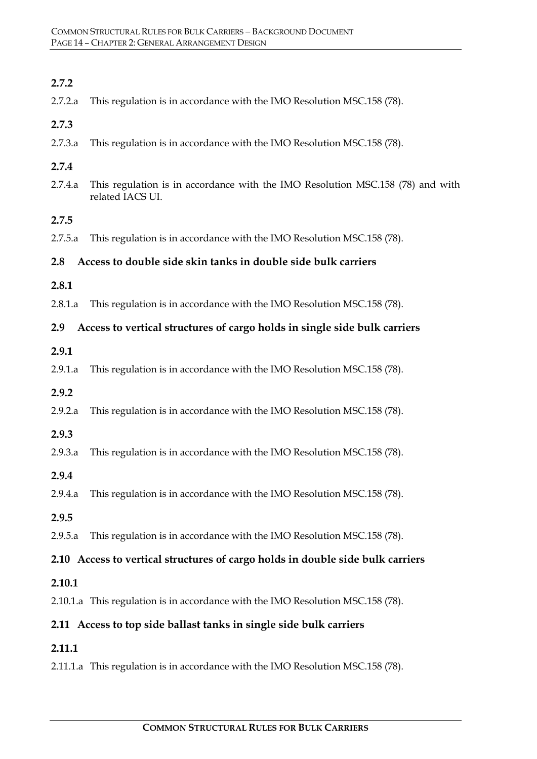| 2.7.2   |                                                                                                    |
|---------|----------------------------------------------------------------------------------------------------|
| 2.7.2.a | This regulation is in accordance with the IMO Resolution MSC.158 (78).                             |
| 2.7.3   |                                                                                                    |
| 2.7.3.a | This regulation is in accordance with the IMO Resolution MSC.158 (78).                             |
| 2.7.4   |                                                                                                    |
| 2.7.4.a | This regulation is in accordance with the IMO Resolution MSC.158 (78) and with<br>related IACS UI. |
| 2.7.5   |                                                                                                    |
| 2.7.5.a | This regulation is in accordance with the IMO Resolution MSC.158 (78).                             |
| 2.8     | Access to double side skin tanks in double side bulk carriers                                      |
| 2.8.1   |                                                                                                    |
| 2.8.1.a | This regulation is in accordance with the IMO Resolution MSC.158 (78).                             |
| 2.9     | Access to vertical structures of cargo holds in single side bulk carriers                          |
| 2.9.1   |                                                                                                    |
| 2.9.1.a | This regulation is in accordance with the IMO Resolution MSC.158 (78).                             |
| 2.9.2   |                                                                                                    |
| 2.9.2.a | This regulation is in accordance with the IMO Resolution MSC.158 (78).                             |
| 2.9.3   |                                                                                                    |
| 2.9.3.a | This regulation is in accordance with the IMO Resolution MSC.158 (78).                             |
| 2.9.4   |                                                                                                    |
| 2.9.4.a | This regulation is in accordance with the IMO Resolution MSC.158 (78).                             |
| 2.9.5   |                                                                                                    |
| 2.9.5.a | This regulation is in accordance with the IMO Resolution MSC.158 (78).                             |
|         | 2.10 Access to vertical structures of cargo holds in double side bulk carriers                     |
| 2.10.1  |                                                                                                    |
|         | 2.10.1.a This regulation is in accordance with the IMO Resolution MSC.158 (78).                    |
|         | 2.11 Access to top side ballast tanks in single side bulk carriers                                 |
| 2.11.1  |                                                                                                    |
|         | 2.11.1.a This regulation is in accordance with the IMO Resolution MSC.158 (78).                    |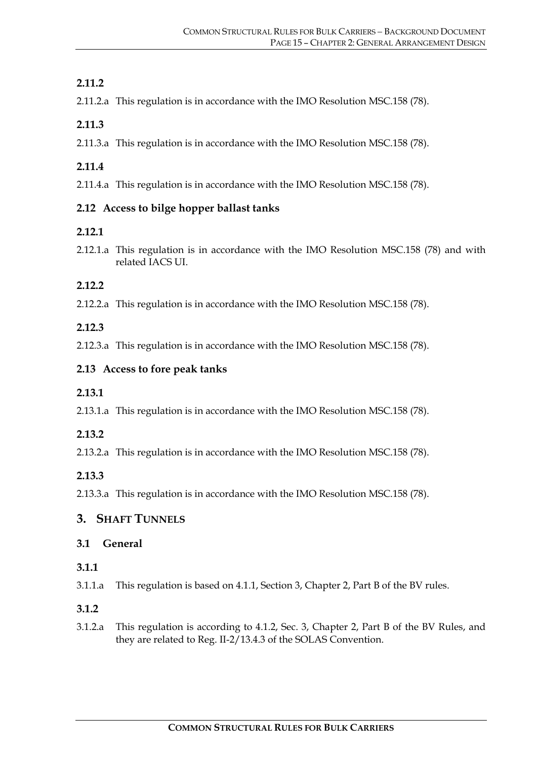# **2.11.2**

2.11.2.a This regulation is in accordance with the IMO Resolution MSC.158 (78).

#### **2.11.3**

2.11.3.a This regulation is in accordance with the IMO Resolution MSC.158 (78).

# **2.11.4**

2.11.4.a This regulation is in accordance with the IMO Resolution MSC.158 (78).

#### **2.12 Access to bilge hopper ballast tanks**

#### **2.12.1**

2.12.1.a This regulation is in accordance with the IMO Resolution MSC.158 (78) and with related IACS UI.

# **2.12.2**

2.12.2.a This regulation is in accordance with the IMO Resolution MSC.158 (78).

# **2.12.3**

2.12.3.a This regulation is in accordance with the IMO Resolution MSC.158 (78).

# **2.13 Access to fore peak tanks**

#### **2.13.1**

2.13.1.a This regulation is in accordance with the IMO Resolution MSC.158 (78).

#### **2.13.2**

2.13.2.a This regulation is in accordance with the IMO Resolution MSC.158 (78).

#### **2.13.3**

2.13.3.a This regulation is in accordance with the IMO Resolution MSC.158 (78).

# **3. SHAFT TUNNELS**

#### **3.1 General**

#### **3.1.1**

- 3.1.1.a This regulation is based on 4.1.1, Section 3, Chapter 2, Part B of the BV rules.
- **3.1.2**
- 3.1.2.a This regulation is according to 4.1.2, Sec. 3, Chapter 2, Part B of the BV Rules, and they are related to Reg. II-2/13.4.3 of the SOLAS Convention.